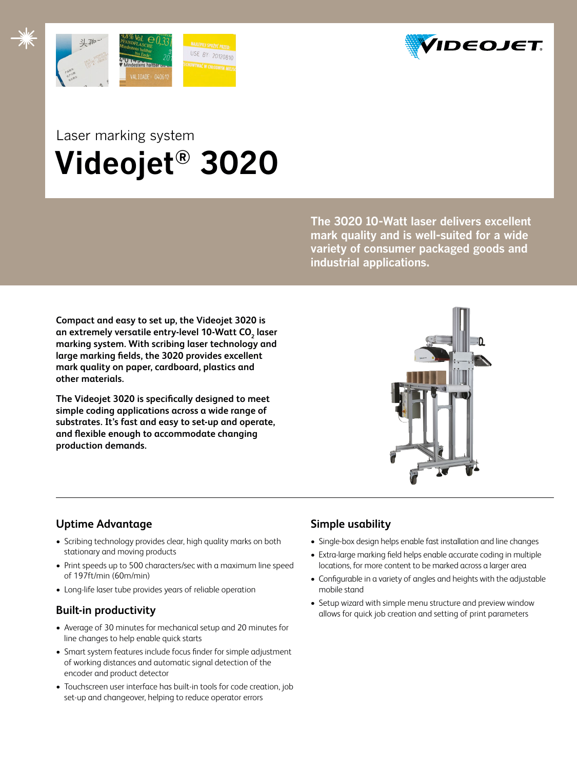



# Laser marking system  **Videojet® 3020**

**The 3020 10-Watt laser delivers excellent mark quality and is well-suited for a wide variety of consumer packaged goods and industrial applications.** 

**Compact and easy to set up, the Videojet 3020 is**  an extremely versatile entry-level 10-Watt CO<sub>2</sub> laser **marking system. With scribing laser technology and large marking fields, the 3020 provides excellent mark quality on paper, cardboard, plastics and other materials.**

**The Videojet 3020 is specifically designed to meet simple coding applications across a wide range of substrates. It's fast and easy to set-up and operate, and flexible enough to accommodate changing production demands.**



# **Uptime Advantage**

- Scribing technology provides clear, high quality marks on both stationary and moving products
- Print speeds up to 500 characters/sec with a maximum line speed of 197ft/min (60m/min)
- Long-life laser tube provides years of reliable operation

### **Built-in productivity**

- Average of 30 minutes for mechanical setup and 20 minutes for line changes to help enable quick starts
- Smart system features include focus finder for simple adjustment of working distances and automatic signal detection of the encoder and product detector
- Touchscreen user interface has built-in tools for code creation, job set-up and changeover, helping to reduce operator errors

# **Simple usability**

- Single-box design helps enable fast installation and line changes
- Extra-large marking field helps enable accurate coding in multiple locations, for more content to be marked across a larger area
- Configurable in a variety of angles and heights with the adjustable mobile stand
- Setup wizard with simple menu structure and preview window allows for quick job creation and setting of print parameters